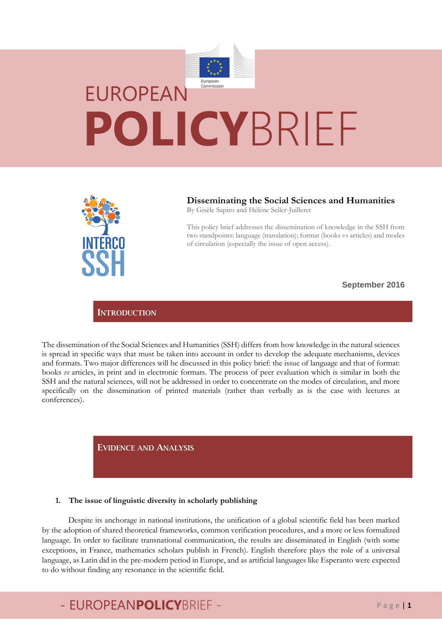



### **Disseminating the Social Sciences and Humanities**

By Gisèle Sapiro and Hélène Seiler-Juilleret

This policy brief addresses the dissemination of knowledge in the SSH from two standpoints: language (translation); format (books vs articles) and modes of circulation (especially the issue of open access).

**September 2016**

### **INTRODUCTION**

The dissemination of the Social Sciences and Humanities (SSH) differs from how knowledge in the natural sciences is spread in specific ways that must be taken into account in order to develop the adequate mechanisms, devices and formats. Two major differences will be discussed in this policy brief: the issue of language and that of format: books *vs* articles, in print and in electronic formats. The process of peer evaluation which is similar in both the SSH and the natural sciences, will not be addressed in order to concentrate on the modes of circulation, and more specifically on the dissemination of printed materials (rather than verbally as is the case with lectures at conferences).

**EVIDENCE AND ANALYSIS** 

### **1. The issue of linguistic diversity in scholarly publishing**

Despite its anchorage in national institutions, the unification of a global scientific field has been marked by the adoption of shared theoretical frameworks, common verification procedures, and a more or less formalized language. In order to facilitate transnational communication, the results are disseminated in English (with some exceptions, in France, mathematics scholars publish in French). English therefore plays the role of a universal language, as Latin did in the pre-modern period in Europe, and as artificial languages like Esperanto were expected to do without finding any resonance in the scientific field.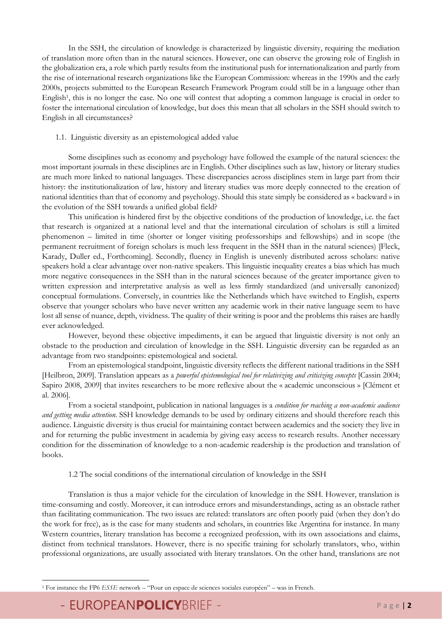In the SSH, the circulation of knowledge is characterized by linguistic diversity, requiring the mediation of translation more often than in the natural sciences. However, one can observe the growing role of English in the globalization era, a role which partly results from the institutional push for internationalization and partly from the rise of international research organizations like the European Commission: whereas in the 1990s and the early 2000s, projects submitted to the European Research Framework Program could still be in a language other than English<sup>1</sup>, this is no longer the case. No one will contest that adopting a common language is crucial in order to foster the international circulation of knowledge, but does this mean that all scholars in the SSH should switch to English in all circumstances?

### 1.1. Linguistic diversity as an epistemological added value

Some disciplines such as economy and psychology have followed the example of the natural sciences: the most important journals in these disciplines are in English. Other disciplines such as law, history or literary studies are much more linked to national languages. These discrepancies across disciplines stem in large part from their history: the institutionalization of law, history and literary studies was more deeply connected to the creation of national identities than that of economy and psychology. Should this state simply be considered as « backward » in the evolution of the SSH towards a unified global field?

This unification is hindered first by the objective conditions of the production of knowledge, i.e. the fact that research is organized at a national level and that the international circulation of scholars is still a limited phenomenon – limited in time (shorter or longer visiting professorships and fellowships) and in scope (the permanent recruitment of foreign scholars is much less frequent in the SSH than in the natural sciences) [Fleck, Karady, Duller ed., Forthcoming]. Secondly, fluency in English is unevenly distributed across scholars: native speakers hold a clear advantage over non-native speakers. This linguistic inequality creates a bias which has much more negative consequences in the SSH than in the natural sciences because of the greater importance given to written expression and interpretative analysis as well as less firmly standardized (and universally canonized) conceptual formulations. Conversely, in countries like the Netherlands which have switched to English, experts observe that younger scholars who have never written any academic work in their native language seem to have lost all sense of nuance, depth, vividness. The quality of their writing is poor and the problems this raises are hardly ever acknowledged.

However, beyond these objective impediments, it can be argued that linguistic diversity is not only an obstacle to the production and circulation of knowledge in the SSH. Linguistic diversity can be regarded as an advantage from two standpoints: epistemological and societal.

From an epistemological standpoint, linguistic diversity reflects the different national traditions in the SSH [Heilbron, 2009]. Translation appears as a *powerful epistemological tool for relativizing and criticizing concepts* [Cassin 2004; Sapiro 2008, 2009] that invites researchers to be more reflexive about the « academic unconscious » [Clément et al. 2006].

From a societal standpoint, publication in national languages is a *condition for reaching a non-academic audience and getting media attention*. SSH knowledge demands to be used by ordinary citizens and should therefore reach this audience. Linguistic diversity is thus crucial for maintaining contact between academics and the society they live in and for returning the public investment in academia by giving easy access to research results. Another necessary condition for the dissemination of knowledge to a non-academic readership is the production and translation of books.

### 1.2 The social conditions of the international circulation of knowledge in the SSH

Translation is thus a major vehicle for the circulation of knowledge in the SSH. However, translation is time-consuming and costly. Moreover, it can introduce errors and misunderstandings, acting as an obstacle rather than facilitating communication. The two issues are related: translators are often poorly paid (when they don't do the work for free), as is the case for many students and scholars, in countries like Argentina for instance. In many Western countries, literary translation has become a recognized profession, with its own associations and claims, distinct from technical translators. However, there is no specific training for scholarly translators, who, within professional organizations, are usually associated with literary translators. On the other hand, translations are not

- EUROPEANPOLICYBRIEF - Page | 2

 $\overline{a}$ 

<sup>1</sup> For instance the FP6 *ESSE* network – "Pour un espace de sciences sociales européen" – was in French.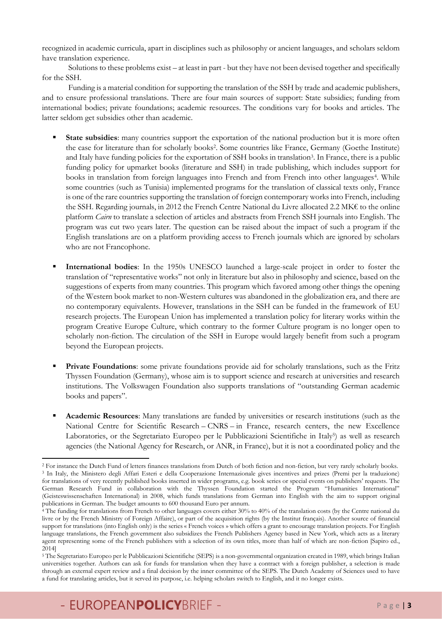recognized in academic curricula, apart in disciplines such as philosophy or ancient languages, and scholars seldom have translation experience.

Solutions to these problems exist – at least in part - but they have not been devised together and specifically for the SSH.

Funding is a material condition for supporting the translation of the SSH by trade and academic publishers, and to ensure professional translations. There are four main sources of support: State subsidies; funding from international bodies; private foundations; academic resources. The conditions vary for books and articles. The latter seldom get subsidies other than academic.

- **State subsidies**: many countries support the exportation of the national production but it is more often the case for literature than for scholarly books<sup>2</sup> . Some countries like France, Germany (Goethe Institute) and Italy have funding policies for the exportation of SSH books in translation<sup>3</sup>. In France, there is a public funding policy for upmarket books (literature and SSH) in trade publishing, which includes support for books in translation from foreign languages into French and from French into other languages<sup>4</sup>. While some countries (such as Tunisia) implemented programs for the translation of classical texts only, France is one of the rare countries supporting the translation of foreign contemporary works into French, including the SSH. Regarding journals, in 2012 the French Centre National du Livre allocated 2.2 MK€ to the online platform *Cairn* to translate a selection of articles and abstracts from French SSH journals into English. The program was cut two years later. The question can be raised about the impact of such a program if the English translations are on a platform providing access to French journals which are ignored by scholars who are not Francophone.
- **International bodies**: In the 1950s UNESCO launched a large-scale project in order to foster the translation of "representative works" not only in literature but also in philosophy and science, based on the suggestions of experts from many countries. This program which favored among other things the opening of the Western book market to non-Western cultures was abandoned in the globalization era, and there are no contemporary equivalents. However, translations in the SSH can be funded in the framework of EU research projects. The European Union has implemented a translation policy for literary works within the program Creative Europe Culture, which contrary to the former Culture program is no longer open to scholarly non-fiction. The circulation of the SSH in Europe would largely benefit from such a program beyond the European projects.
- **Private Foundations**: some private foundations provide aid for scholarly translations, such as the Fritz Thyssen Foundation (Germany), whose aim is to support science and research at universities and research institutions. The Volkswagen Foundation also supports translations of "outstanding German academic books and papers".
- **Academic Resources**: Many translations are funded by universities or research institutions (such as the National Centre for Scientific Research – CNRS – in France, research centers, the new Excellence Laboratories, or the Segretariato Europeo per le Pubblicazioni Scientifiche in Italy<sup>5</sup>) as well as research agencies (the National Agency for Research, or ANR, in France), but it is not a coordinated policy and the

**<sup>.</sup>** <sup>2</sup> For instance the Dutch Fund of letters finances translations from Dutch of both fiction and non-fiction, but very rarely scholarly books. <sup>3</sup> In Italy, the Ministero degli Affari Esteri e della Cooperazione Internazionale gives incentives and prizes (Premi per la traduzione) for translations of very recently published books inserted in wider programs, e.g. book series or special events on publishers' requests. The German Research Fund in collaboration with the Thyssen Foundation started the Program "Humanities International" (Geisteswissenschaften International) in 2008, which funds translations from German into English with the aim to support original publications in German. The budget amounts to 600 thousand Euro per annum.

<sup>4</sup> The funding for translations from French to other languages covers either 30% to 40% of the translation costs (by the Centre national du livre or by the French Ministry of Foreign Affaire), or part of the acquisition rights (by the Institut français). Another source of financial support for translations (into English only) is the series « French voices » which offers a grant to encourage translation projects. For English language translations, the French government also subsidizes the French Publishers Agency based in New York, which acts as a literary agent representing some of the French publishers with a selection of its own titles, more than half of which are non-fiction [Sapiro ed., 2014]

<sup>5</sup> The Segretariato Europeo per le Pubblicazioni Scientifiche (SEPS) is a non-governmental organization created in 1989, which brings Italian universities together. Authors can ask for funds for translation when they have a contract with a foreign publisher, a selection is made through an external expert review and a final decision by the inner committee of the SEPS. The Dutch Academy of Sciences used to have a fund for translating articles, but it served its purpose, i.e. helping scholars switch to English, and it no longer exists.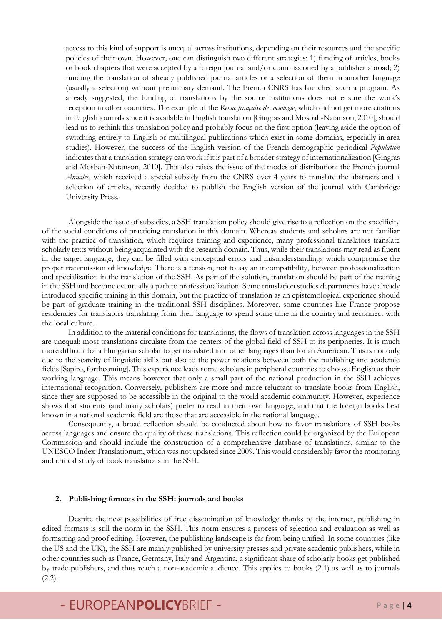access to this kind of support is unequal across institutions, depending on their resources and the specific policies of their own. However, one can distinguish two different strategies: 1) funding of articles, books or book chapters that were accepted by a foreign journal and/or commissioned by a publisher abroad; 2) funding the translation of already published journal articles or a selection of them in another language (usually a selection) without preliminary demand. The French CNRS has launched such a program. As already suggested, the funding of translations by the source institutions does not ensure the work's reception in other countries. The example of the *Revue française de sociologie*, which did not get more citations in English journals since it is available in English translation [Gingras and Mosbah-Natanson, 2010], should lead us to rethink this translation policy and probably focus on the first option (leaving aside the option of switching entirely to English or multilingual publications which exist in some domains, especially in area studies). However, the success of the English version of the French demographic periodical *Population* indicates that a translation strategy can work if it is part of a broader strategy of internationalization [Gingras and Mosbah-Natanson, 2010]. This also raises the issue of the modes of distribution: the French journal *Annales*, which received a special subsidy from the CNRS over 4 years to translate the abstracts and a selection of articles, recently decided to publish the English version of the journal with Cambridge University Press.

Alongside the issue of subsidies, a SSH translation policy should give rise to a reflection on the specificity of the social conditions of practicing translation in this domain. Whereas students and scholars are not familiar with the practice of translation, which requires training and experience, many professional translators translate scholarly texts without being acquainted with the research domain. Thus, while their translations may read as fluent in the target language, they can be filled with conceptual errors and misunderstandings which compromise the proper transmission of knowledge. There is a tension, not to say an incompatibility, between professionalization and specialization in the translation of the SSH. As part of the solution, translation should be part of the training in the SSH and become eventually a path to professionalization. Some translation studies departments have already introduced specific training in this domain, but the practice of translation as an epistemological experience should be part of graduate training in the traditional SSH disciplines. Moreover, some countries like France propose residencies for translators translating from their language to spend some time in the country and reconnect with the local culture.

In addition to the material conditions for translations, the flows of translation across languages in the SSH are unequal: most translations circulate from the centers of the global field of SSH to its peripheries. It is much more difficult for a Hungarian scholar to get translated into other languages than for an American. This is not only due to the scarcity of linguistic skills but also to the power relations between both the publishing and academic fields [Sapiro, forthcoming]. This experience leads some scholars in peripheral countries to choose English as their working language. This means however that only a small part of the national production in the SSH achieves international recognition. Conversely, publishers are more and more reluctant to translate books from English, since they are supposed to be accessible in the original to the world academic community. However, experience shows that students (and many scholars) prefer to read in their own language, and that the foreign books best known in a national academic field are those that are accessible in the national language.

Consequently, a broad reflection should be conducted about how to favor translations of SSH books across languages and ensure the quality of these translations. This reflection could be organized by the European Commission and should include the construction of a comprehensive database of translations, similar to the UNESCO Index Translationum, which was not updated since 2009. This would considerably favor the monitoring and critical study of book translations in the SSH.

### **2. Publishing formats in the SSH: journals and books**

Despite the new possibilities of free dissemination of knowledge thanks to the internet, publishing in edited formats is still the norm in the SSH. This norm ensures a process of selection and evaluation as well as formatting and proof editing. However, the publishing landscape is far from being unified. In some countries (like the US and the UK), the SSH are mainly published by university presses and private academic publishers, while in other countries such as France, Germany, Italy and Argentina, a significant share of scholarly books get published by trade publishers, and thus reach a non-academic audience. This applies to books (2.1) as well as to journals  $(2.2).$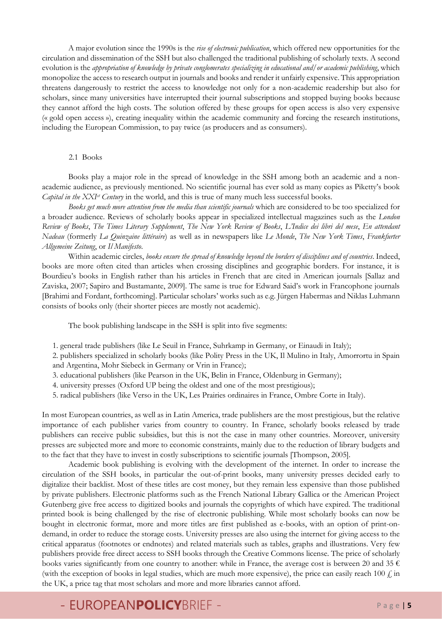A major evolution since the 1990s is the *rise of electronic publication*, which offered new opportunities for the circulation and dissemination of the SSH but also challenged the traditional publishing of scholarly texts. A second evolution is the *appropriation of knowledge by private conglomerates specializing in educational and/or academic publishing*, which monopolize the access to research output in journals and books and render it unfairly expensive. This appropriation threatens dangerously to restrict the access to knowledge not only for a non-academic readership but also for scholars, since many universities have interrupted their journal subscriptions and stopped buying books because they cannot afford the high costs. The solution offered by these groups for open access is also very expensive (« gold open access »), creating inequality within the academic community and forcing the research institutions, including the European Commission, to pay twice (as producers and as consumers).

### 2.1 Books

Books play a major role in the spread of knowledge in the SSH among both an academic and a nonacademic audience, as previously mentioned. No scientific journal has ever sold as many copies as Piketty's book *Capital in the XXIst Century* in the world, and this is true of many much less successful books.

*Books get much more attention from the media than scientific journals* which are considered to be too specialized for a broader audience. Reviews of scholarly books appear in specialized intellectual magazines such as the *London Review of Books*, *The Times Literary Supplement*, *The New York Review of Books*, *L'Indice dei libri del mese*, *En attendant Nadeau* (formerly *La Quinzaine littéraire*) as well as in newspapers like *Le Monde*, *The New York Times*, *Frankfurter Allgemeine Zeitung*, or *Il Manifesto*.

Within academic circles, *books ensure the spread of knowledge beyond the borders of disciplines and of countries*. Indeed, books are more often cited than articles when crossing disciplines and geographic borders. For instance, it is Bourdieu's books in English rather than his articles in French that are cited in American journals [Sallaz and Zaviska, 2007; Sapiro and Bustamante, 2009]. The same is true for Edward Said's work in Francophone journals [Brahimi and Fordant, forthcoming]. Particular scholars' works such as e.g. Jürgen Habermas and Niklas Luhmann consists of books only (their shorter pieces are mostly not academic).

The book publishing landscape in the SSH is split into five segments:

- 1. general trade publishers (like Le Seuil in France, Suhrkamp in Germany, or Einaudi in Italy);
- 2. publishers specialized in scholarly books (like Polity Press in the UK, Il Mulino in Italy, Amorrortu in Spain and Argentina, Mohr Siebeck in Germany or Vrin in France);
- 3. educational publishers (like Pearson in the UK, Belin in France, Oldenburg in Germany);
- 4. university presses (Oxford UP being the oldest and one of the most prestigious);
- 5. radical publishers (like Verso in the UK, Les Prairies ordinaires in France, Ombre Corte in Italy).

In most European countries, as well as in Latin America, trade publishers are the most prestigious, but the relative importance of each publisher varies from country to country. In France, scholarly books released by trade publishers can receive public subsidies, but this is not the case in many other countries. Moreover, university presses are subjected more and more to economic constraints, mainly due to the reduction of library budgets and to the fact that they have to invest in costly subscriptions to scientific journals [Thompson, 2005].

Academic book publishing is evolving with the development of the internet. In order to increase the circulation of the SSH books, in particular the out-of-print books, many university presses decided early to digitalize their backlist. Most of these titles are cost money, but they remain less expensive than those published by private publishers. Electronic platforms such as the French National Library Gallica or the American Project Gutenberg give free access to digitized books and journals the copyrights of which have expired. The traditional printed book is being challenged by the rise of electronic publishing. While most scholarly books can now be bought in electronic format, more and more titles are first published as e-books, with an option of print-ondemand, in order to reduce the storage costs. University presses are also using the internet for giving access to the critical apparatus (footnotes or endnotes) and related materials such as tables, graphs and illustrations. Very few publishers provide free direct access to SSH books through the Creative Commons license. The price of scholarly books varies significantly from one country to another: while in France, the average cost is between 20 and 35  $\epsilon$ (with the exception of books in legal studies, which are much more expensive), the price can easily reach 100  $\ell$  in the UK, a price tag that most scholars and more and more libraries cannot afford.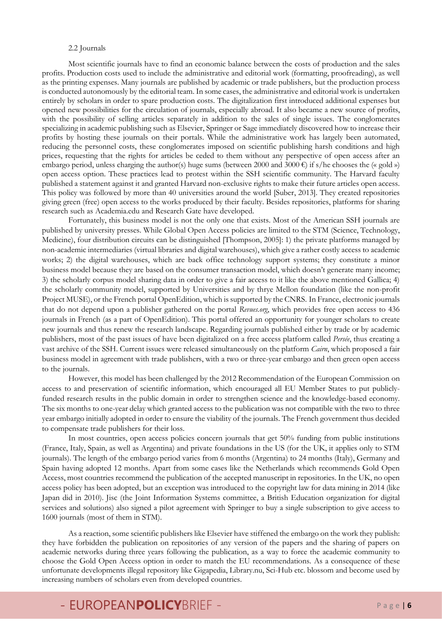#### 2.2 Journals

Most scientific journals have to find an economic balance between the costs of production and the sales profits. Production costs used to include the administrative and editorial work (formatting, proofreading), as well as the printing expenses. Many journals are published by academic or trade publishers, but the production process is conducted autonomously by the editorial team. In some cases, the administrative and editorial work is undertaken entirely by scholars in order to spare production costs. The digitalization first introduced additional expenses but opened new possibilities for the circulation of journals, especially abroad. It also became a new source of profits, with the possibility of selling articles separately in addition to the sales of single issues. The conglomerates specializing in academic publishing such as Elsevier, Springer or Sage immediately discovered how to increase their profits by hosting these journals on their portals. While the administrative work has largely been automated, reducing the personnel costs, these conglomerates imposed on scientific publishing harsh conditions and high prices, requesting that the rights for articles be ceded to them without any perspective of open access after an embargo period, unless charging the author(s) huge sums (between 2000 and 3000  $\epsilon$ ) if s/he chooses the (« gold ») open access option. These practices lead to protest within the SSH scientific community. The Harvard faculty published a statement against it and granted Harvard non-exclusive rights to make their future articles open access. This policy was followed by more than 40 universities around the world [Suber, 2013]. They created repositories giving green (free) open access to the works produced by their faculty. Besides repositories, platforms for sharing research such as Academia.edu and Research Gate have developed.

Fortunately, this business model is not the only one that exists. Most of the American SSH journals are published by university presses. While Global Open Access policies are limited to the STM (Science, Technology, Medicine), four distribution circuits can be distinguished [Thompson, 2005]: 1) the private platforms managed by non-academic intermediaries (virtual libraries and digital warehouses), which give a rather costly access to academic works; 2) the digital warehouses, which are back office technology support systems; they constitute a minor business model because they are based on the consumer transaction model, which doesn't generate many income; 3) the scholarly corpus model sharing data in order to give a fair access to it like the above mentioned Gallica; 4) the scholarly community model, supported by Universities and by thrye Mellon foundation (like the non-profit Project MUSE), or the French portal OpenEdition, which is supported by the CNRS. In France, electronic journals that do not depend upon a publisher gathered on the portal *Revues.org*, which provides free open access to 436 journals in French (as a part of OpenEdition). This portal offered an opportunity for younger scholars to create new journals and thus renew the research landscape. Regarding journals published either by trade or by academic publishers, most of the past issues of have been digitalized on a free access platform called *Persée*, thus creating a vast archive of the SSH. Current issues were released simultaneously on the platform *Cairn*, which proposed a fair business model in agreement with trade publishers, with a two or three-year embargo and then green open access to the journals.

However, this model has been challenged by the 2012 Recommendation of the European Commission on access to and preservation of scientific information, which encouraged all EU Member States to put publiclyfunded research results in the public domain in order to strengthen science and the knowledge-based economy. The six months to one-year delay which granted access to the publication was not compatible with the two to three year embargo initially adopted in order to ensure the viability of the journals. The French government thus decided to compensate trade publishers for their loss.

In most countries, open access policies concern journals that get 50% funding from public institutions (France, Italy, Spain, as well as Argentina) and private foundations in the US (for the UK, it applies only to STM journals). The length of the embargo period varies from 6 months (Argentina) to 24 months (Italy), Germany and Spain having adopted 12 months. Apart from some cases like the Netherlands which recommends Gold Open Access, most countries recommend the publication of the accepted manuscript in repositories. In the UK, no open access policy has been adopted, but an exception was introduced to the copyright law for data mining in 2014 (like Japan did in 2010). Jisc (the Joint Information Systems committee, a British Education organization for digital services and solutions) also signed a pilot agreement with Springer to buy a single subscription to give access to 1600 journals (most of them in STM).

As a reaction, some scientific publishers like Elsevier have stiffened the embargo on the work they publish: they have forbidden the publication on repositories of any version of the papers and the sharing of papers on academic networks during three years following the publication, as a way to force the academic community to choose the Gold Open Access option in order to match the EU recommendations. As a consequence of these unfortunate developments illegal repository like Gigapedia, Library.nu, Sci-Hub etc. blossom and become used by increasing numbers of scholars even from developed countries.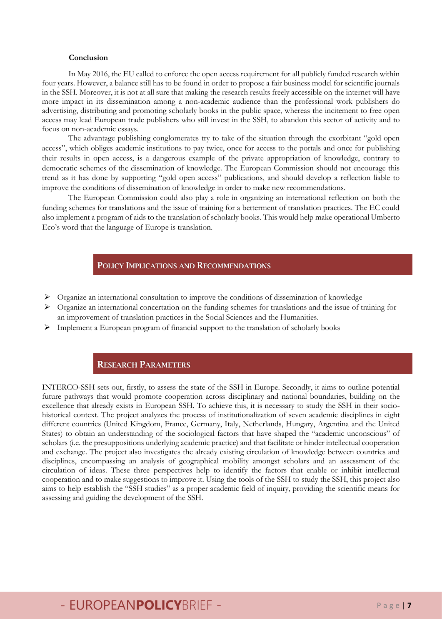#### **Conclusion**

In May 2016, the EU called to enforce the open access requirement for all publicly funded research within four years. However, a balance still has to be found in order to propose a fair business model for scientific journals in the SSH. Moreover, it is not at all sure that making the research results freely accessible on the internet will have more impact in its dissemination among a non-academic audience than the professional work publishers do advertising, distributing and promoting scholarly books in the public space, whereas the incitement to free open access may lead European trade publishers who still invest in the SSH, to abandon this sector of activity and to focus on non-academic essays.

The advantage publishing conglomerates try to take of the situation through the exorbitant "gold open access", which obliges academic institutions to pay twice, once for access to the portals and once for publishing their results in open access, is a dangerous example of the private appropriation of knowledge, contrary to democratic schemes of the dissemination of knowledge. The European Commission should not encourage this trend as it has done by supporting "gold open access" publications, and should develop a reflection liable to improve the conditions of dissemination of knowledge in order to make new recommendations.

The European Commission could also play a role in organizing an international reflection on both the funding schemes for translations and the issue of training for a betterment of translation practices. The EC could also implement a program of aids to the translation of scholarly books. This would help make operational Umberto Eco's word that the language of Europe is translation.

### **POLICY IMPLICATIONS AND RECOMMENDATIONS**

- $\triangleright$  Organize an international consultation to improve the conditions of dissemination of knowledge
- $\triangleright$  Organize an international concertation on the funding schemes for translations and the issue of training for an improvement of translation practices in the Social Sciences and the Humanities.
- $\triangleright$  Implement a European program of financial support to the translation of scholarly books

### **RESEARCH PARAMETERS**

INTERCO-SSH sets out, firstly, to assess the state of the SSH in Europe. Secondly, it aims to outline potential future pathways that would promote cooperation across disciplinary and national boundaries, building on the excellence that already exists in European SSH. To achieve this, it is necessary to study the SSH in their sociohistorical context. The project analyzes the process of institutionalization of seven academic disciplines in eight different countries (United Kingdom, France, Germany, Italy, Netherlands, Hungary, Argentina and the United States) to obtain an understanding of the sociological factors that have shaped the "academic unconscious" of scholars (i.e. the presuppositions underlying academic practice) and that facilitate or hinder intellectual cooperation and exchange. The project also investigates the already existing circulation of knowledge between countries and disciplines, encompassing an analysis of geographical mobility amongst scholars and an assessment of the circulation of ideas. These three perspectives help to identify the factors that enable or inhibit intellectual cooperation and to make suggestions to improve it. Using the tools of the SSH to study the SSH, this project also aims to help establish the "SSH studies" as a proper academic field of inquiry, providing the scientific means for assessing and guiding the development of the SSH.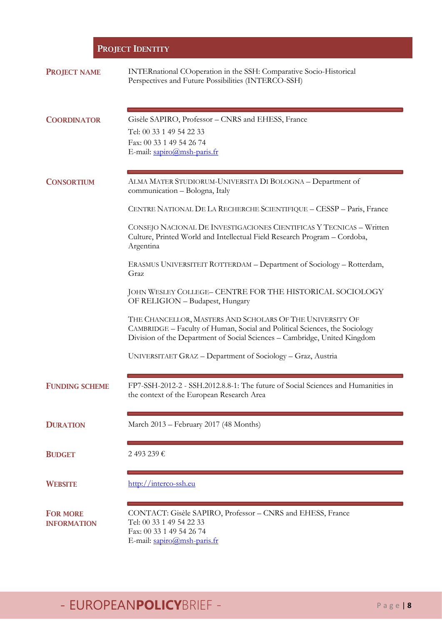### **PROJECT IDENTITY**

| <b>PROJECT NAME</b>                   | INTERnational COoperation in the SSH: Comparative Socio-Historical<br>Perspectives and Future Possibilities (INTERCO-SSH)                                                                                            |
|---------------------------------------|----------------------------------------------------------------------------------------------------------------------------------------------------------------------------------------------------------------------|
| <b>COORDINATOR</b>                    | Gisèle SAPIRO, Professor - CNRS and EHESS, France<br>Tel: 00 33 1 49 54 22 33<br>Fax: 00 33 1 49 54 26 74<br>E-mail: sapiro@msh-paris.fr                                                                             |
| <b>CONSORTIUM</b>                     | ALMA MATER STUDIORUM-UNIVERSITA DI BOLOGNA - Department of<br>communication - Bologna, Italy                                                                                                                         |
|                                       | CENTRE NATIONAL DE LA RECHERCHE SCIENTIFIQUE - CESSP - Paris, France                                                                                                                                                 |
|                                       | CONSEJO NACIONAL DE INVESTIGACIONES CIENTIFICAS Y TECNICAS - Written<br>Culture, Printed World and Intellectual Field Research Program - Cordoba,<br>Argentina                                                       |
|                                       | ERASMUS UNIVERSITEIT ROTTERDAM - Department of Sociology - Rotterdam,<br>Graz                                                                                                                                        |
|                                       | JOHN WESLEY COLLEGE- CENTRE FOR THE HISTORICAL SOCIOLOGY<br>OF RELIGION - Budapest, Hungary                                                                                                                          |
|                                       | THE CHANCELLOR, MASTERS AND SCHOLARS OF THE UNIVERSITY OF<br>CAMBRIDGE - Faculty of Human, Social and Political Sciences, the Sociology<br>Division of the Department of Social Sciences - Cambridge, United Kingdom |
|                                       | UNIVERSITAET GRAZ - Department of Sociology - Graz, Austria                                                                                                                                                          |
| <b>FUNDING SCHEME</b>                 | FP7-SSH-2012-2 - SSH.2012.8.8-1: The future of Social Sciences and Humanities in<br>the context of the European Research Area                                                                                        |
| <b>DURATION</b>                       | March 2013 - February 2017 (48 Months)                                                                                                                                                                               |
| <b>BUDGET</b>                         | 2493239€                                                                                                                                                                                                             |
| <b>WEBSITE</b>                        | http://interco-ssh.eu                                                                                                                                                                                                |
| <b>FOR MORE</b><br><b>INFORMATION</b> | CONTACT: Gisèle SAPIRO, Professor - CNRS and EHESS, France<br>Tel: 00 33 1 49 54 22 33<br>Fax: 00 33 1 49 54 26 74<br>E-mail: sapiro@msh-paris.fr                                                                    |